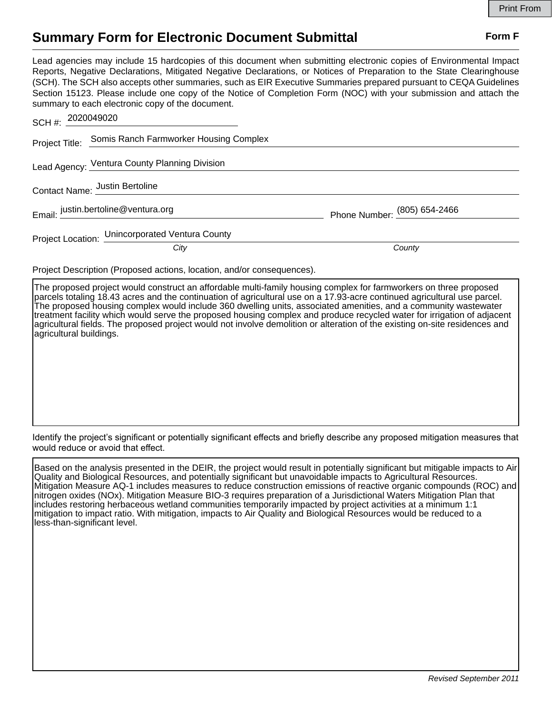## **Summary Form for Electronic Document Submittal Form F Form F**

Lead agencies may include 15 hardcopies of this document when submitting electronic copies of Environmental Impact Reports, Negative Declarations, Mitigated Negative Declarations, or Notices of Preparation to the State Clearinghouse (SCH). The SCH also accepts other summaries, such as EIR Executive Summaries prepared pursuant to CEQA Guidelines Section 15123. Please include one copy of the Notice of Completion Form (NOC) with your submission and attach the summary to each electronic copy of the document.

| SCH #: 2020049020                   |                                                                          |                              |
|-------------------------------------|--------------------------------------------------------------------------|------------------------------|
|                                     | Project Title: Somis Ranch Farmworker Housing Complex                    |                              |
|                                     | Lead Agency: Ventura County Planning Division                            |                              |
|                                     | Contact Name: Justin Bertoline                                           |                              |
| Email: justin.bertoline@ventura.org |                                                                          | Phone Number: (805) 654-2466 |
|                                     | Project Location: Unincorporated Ventura County                          |                              |
|                                     | City                                                                     | County                       |
|                                     | Dartzer De estaten (Daren est entre el territorio en 11. anos en estatel |                              |

Project Description (Proposed actions, location, and/or consequences).

The proposed project would construct an affordable multi-family housing complex for farmworkers on three proposed parcels totaling 18.43 acres and the continuation of agricultural use on a 17.93-acre continued agricultural use parcel. The proposed housing complex would include 360 dwelling units, associated amenities, and a community wastewater treatment facility which would serve the proposed housing complex and produce recycled water for irrigation of adjacent agricultural fields. The proposed project would not involve demolition or alteration of the existing on-site residences and agricultural buildings.

Identify the project's significant or potentially significant effects and briefly describe any proposed mitigation measures that would reduce or avoid that effect.

Based on the analysis presented in the DEIR, the project would result in potentially significant but mitigable impacts to Air Quality and Biological Resources, and potentially significant but unavoidable impacts to Agricultural Resources. Mitigation Measure AQ-1 includes measures to reduce construction emissions of reactive organic compounds (ROC) and nitrogen oxides (NOx). Mitigation Measure BIO-3 requires preparation of a Jurisdictional Waters Mitigation Plan that includes restoring herbaceous wetland communities temporarily impacted by project activities at a minimum 1:1 mitigation to impact ratio. With mitigation, impacts to Air Quality and Biological Resources would be reduced to a less-than-significant level.